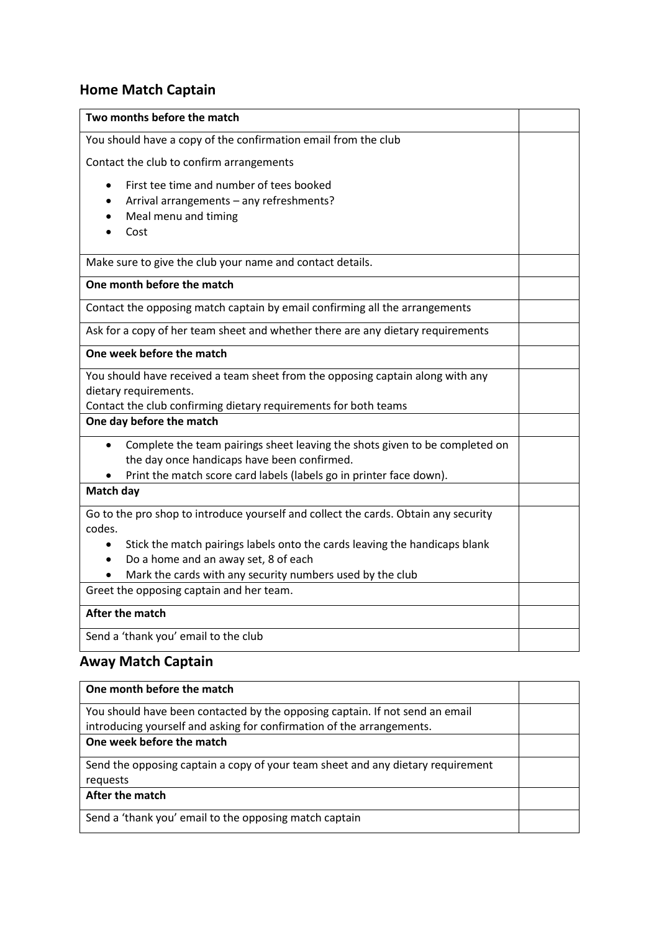## **Home Match Captain**

| Two months before the match                                                             |  |
|-----------------------------------------------------------------------------------------|--|
| You should have a copy of the confirmation email from the club                          |  |
| Contact the club to confirm arrangements                                                |  |
| First tee time and number of tees booked<br>$\bullet$                                   |  |
| Arrival arrangements - any refreshments?                                                |  |
| Meal menu and timing                                                                    |  |
| Cost                                                                                    |  |
| Make sure to give the club your name and contact details.                               |  |
| One month before the match                                                              |  |
| Contact the opposing match captain by email confirming all the arrangements             |  |
| Ask for a copy of her team sheet and whether there are any dietary requirements         |  |
| One week before the match                                                               |  |
| You should have received a team sheet from the opposing captain along with any          |  |
| dietary requirements.                                                                   |  |
| Contact the club confirming dietary requirements for both teams                         |  |
| One day before the match                                                                |  |
| Complete the team pairings sheet leaving the shots given to be completed on             |  |
| the day once handicaps have been confirmed.                                             |  |
| Print the match score card labels (labels go in printer face down).                     |  |
| Match day                                                                               |  |
| Go to the pro shop to introduce yourself and collect the cards. Obtain any security     |  |
| codes.                                                                                  |  |
| Stick the match pairings labels onto the cards leaving the handicaps blank<br>$\bullet$ |  |
| Do a home and an away set, 8 of each                                                    |  |
| Mark the cards with any security numbers used by the club                               |  |
| Greet the opposing captain and her team.                                                |  |
| After the match                                                                         |  |
| Send a 'thank you' email to the club                                                    |  |

## **Away Match Captain**

| One month before the match                                                                                                                            |  |
|-------------------------------------------------------------------------------------------------------------------------------------------------------|--|
| You should have been contacted by the opposing captain. If not send an email<br>introducing yourself and asking for confirmation of the arrangements. |  |
| One week before the match                                                                                                                             |  |
| Send the opposing captain a copy of your team sheet and any dietary requirement<br>requests                                                           |  |
| After the match                                                                                                                                       |  |
| Send a 'thank you' email to the opposing match captain                                                                                                |  |